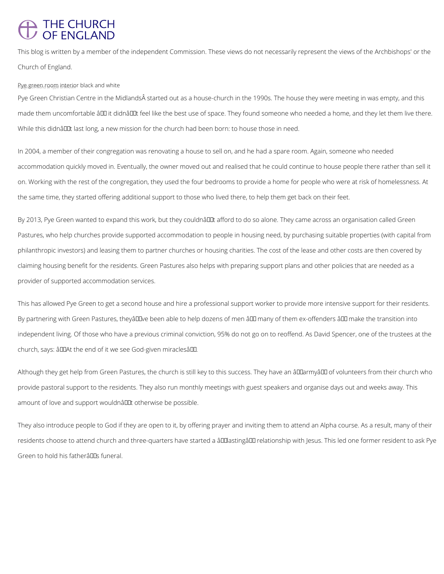## THE CHURCH<br>OF ENGLAND

This blog is written by a member of the independent Commission. These views do not necessarily represent the views of the Archbishops' or the Church of England.

## Pye green room interior black and white

Pye Green Christian Centre in the Midlands started out as a house-church in the 1990s. The house they were meeting in was empty, and this made them uncomfortable ând it didnând teel like the best use of space. They found someone who needed a home, and they let them live there. While this didnâuut last long, a new mission for the church had been born: to house those in need.

By 2013, Pye Green wanted to expand this work, but they couldnâu tafford to do so alone. They came across an organisation called Green Pastures, who help churches provide supported accommodation to people in housing need, by purchasing suitable properties (with capital from philanthropic investors) and leasing them to partner churches or housing charities. The cost of the lease and other costs are then covered by claiming housing benefit for the residents. Green Pastures also helps with preparing support plans and other policies that are needed as a provider of supported accommodation services.

This has allowed Pye Green to get a second house and hire a professional support worker to provide more intensive support for their residents. By partnering with Green Pastures, theyâuDve been able to help dozens of men âu many of them ex-offenders â u make the transition into independent living. Of those who have a previous criminal conviction, 95% do not go on to reoffend. As David Spencer, one of the trustees at the church, says: âDDAt the end of it we see God-given miraclesâDD.

Although they get help from Green Pastures, the church is still key to this success. They have an âDDarmyâDD of volunteers from their church who provide pastoral support to the residents. They also run monthly meetings with guest speakers and organise days out and weeks away. This amount of love and support wouldnât otherwise be possible.

In 2004, a member of their congregation was renovating a house to sell on, and he had a spare room. Again, someone who needed accommodation quickly moved in. Eventually, the owner moved out and realised that he could continue to house people there rather than sell it on. Working with the rest of the congregation, they used the four bedrooms to provide a home for people who were at risk of homelessness. At the same time, they started offering additional support to those who lived there, to help them get back on their feet.

They also introduce people to God if they are open to it, by offering prayer and inviting them to attend an Alpha course. As a result, many of their

residents choose to attend church and three-quarters have started a âlllastingâll relationship with Jesus. This led one former resident to ask Pye

Green to hold his fatherâllas funeral.